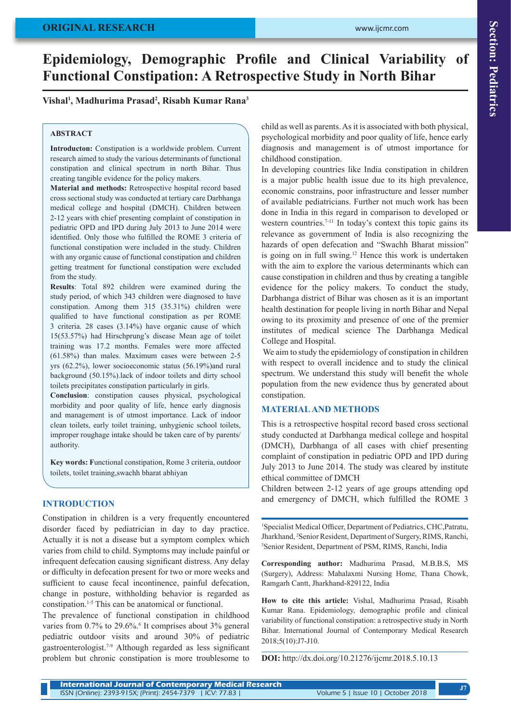# **Epidemiology, Demographic Profile and Clinical Variability of Functional Constipation: A Retrospective Study in North Bihar**

## **Vishal<sup>1</sup> , Madhurima Prasad<sup>2</sup> , Risabh Kumar Rana<sup>3</sup>**

#### **ABSTRACT**

**Introducton:** Constipation is a worldwide problem. Current research aimed to study the various determinants of functional constipation and clinical spectrum in north Bihar. Thus creating tangible evidence for the policy makers.

**Material and methods:** Retrospective hospital record based cross sectional study was conducted at tertiary care Darbhanga medical college and hospital (DMCH). Children between 2-12 years with chief presenting complaint of constipation in pediatric OPD and IPD during July 2013 to June 2014 were identified. Only those who fulfilled the ROME 3 criteria of functional constipation were included in the study. Children with any organic cause of functional constipation and children getting treatment for functional constipation were excluded from the study.

**Results**: Total 892 children were examined during the study period, of which 343 children were diagnosed to have constipation. Among them 315 (35.31%) children were qualified to have functional constipation as per ROME 3 criteria. 28 cases (3.14%) have organic cause of which 15(53.57%) had Hirschprung's disease Mean age of toilet training was 17.2 months. Females were more affected (61.58%) than males. Maximum cases were between 2-5 yrs (62.2%), lower socioeconomic status (56.19%)and rural background (50.15%).lack of indoor toilets and dirty school toilets precipitates constipation particularly in girls.

**Conclusion**: constipation causes physical, psychological morbidity and poor quality of life, hence early diagnosis and management is of utmost importance. Lack of indoor clean toilets, early toilet training, unhygienic school toilets, improper roughage intake should be taken care of by parents/ authority.

**Key words: F**unctional constipation, Rome 3 criteria, outdoor toilets, toilet training,swachh bharat abhiyan

#### **INTRODUCTION**

Constipation in children is a very frequently encountered disorder faced by pediatrician in day to day practice. Actually it is not a disease but a symptom complex which varies from child to child. Symptoms may include painful or infrequent defecation causing significant distress. Any delay or difficulty in defecation present for two or more weeks and sufficient to cause fecal incontinence, painful defecation, change in posture, withholding behavior is regarded as constipation.1-5 This can be anatomical or functional.

The prevalence of functional constipation in childhood varies from 0.7% to 29.6%.<sup>6</sup> It comprises about 3% general pediatric outdoor visits and around 30% of pediatric gastroenterologist.7-9 Although regarded as less significant problem but chronic constipation is more troublesome to

child as well as parents. As it is associated with both physical, psychological morbidity and poor quality of life, hence early diagnosis and management is of utmost importance for childhood constipation.

In developing countries like India constipation in children is a major public health issue due to its high prevalence, economic constrains, poor infrastructure and lesser number of available pediatricians. Further not much work has been done in India in this regard in comparison to developed or western countries.<sup>7-11</sup> In today's context this topic gains its relevance as government of India is also recognizing the hazards of open defecation and "Swachh Bharat mission" is going on in full swing.<sup>12</sup> Hence this work is undertaken with the aim to explore the various determinants which can cause constipation in children and thus by creating a tangible evidence for the policy makers. To conduct the study, Darbhanga district of Bihar was chosen as it is an important health destination for people living in north Bihar and Nepal owing to its proximity and presence of one of the premier institutes of medical science The Darbhanga Medical College and Hospital.

 We aim to study the epidemiology of constipation in children with respect to overall incidence and to study the clinical spectrum. We understand this study will benefit the whole population from the new evidence thus by generated about constipation.

### **MATERIAL AND METHODS**

This is a retrospective hospital record based cross sectional study conducted at Darbhanga medical college and hospital (DMCH), Darbhanga of all cases with chief presenting complaint of constipation in pediatric OPD and IPD during July 2013 to June 2014. The study was cleared by institute ethical committee of DMCH

Children between 2-12 years of age groups attending opd and emergency of DMCH, which fulfilled the ROME 3

1 Specialist Medical Officer, Department of Pediatrics, CHC,Patratu, Jharkhand, 2 Senior Resident, Department of Surgery, RIMS, Ranchi, 3 <sup>3</sup>Senior Resident, Department of PSM, RIMS, Ranchi, India

**Corresponding author:** Madhurima Prasad, M.B.B.S, MS (Surgery), Address: Mahalaxmi Nursing Home, Thana Chowk, Ramgarh Cantt, Jharkhand-829122, India

**How to cite this article:** Vishal, Madhurima Prasad, Risabh Kumar Rana. Epidemiology, demographic profile and clinical variability of functional constipation: a retrospective study in North Bihar. International Journal of Contemporary Medical Research 2018;5(10):J7-J10.

**DOI:** http://dx.doi.org/10.21276/ijcmr.2018.5.10.13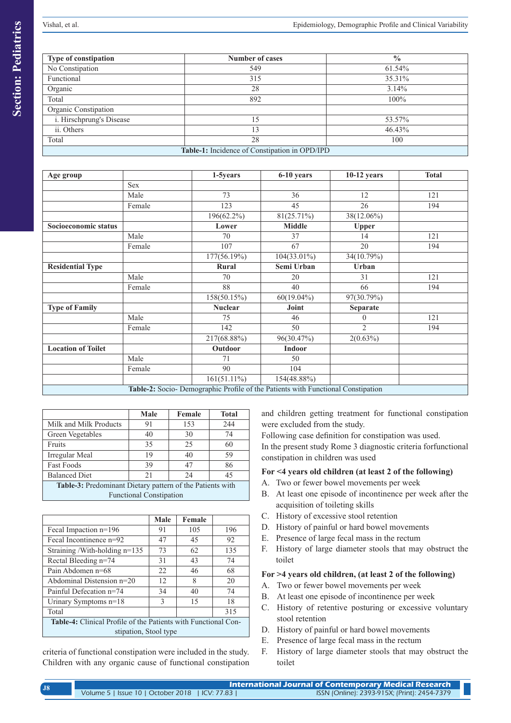| Type of constipation                          | <b>Number of cases</b> | $\frac{0}{0}$ |  |  |
|-----------------------------------------------|------------------------|---------------|--|--|
| No Constipation                               | 549                    | 61.54%        |  |  |
| Functional                                    | 315                    | 35.31%        |  |  |
| Organic                                       | 28                     | 3.14%         |  |  |
| Total                                         | 892                    | 100%          |  |  |
| Organic Constipation                          |                        |               |  |  |
| i. Hirschprung's Disease                      | 15                     | 53.57%        |  |  |
| ii. Others                                    | 13                     | 46.43%        |  |  |
| Total                                         | 28                     | 100           |  |  |
| Table-1: Incidence of Constipation in OPD/IPD |                        |               |  |  |

| Age group                                                                        |            | 1-5years       | 6-10 years     | $10-12$ years  | <b>Total</b> |
|----------------------------------------------------------------------------------|------------|----------------|----------------|----------------|--------------|
|                                                                                  | <b>Sex</b> |                |                |                |              |
|                                                                                  | Male       | 73             | 36             | 12             | 121          |
|                                                                                  | Female     | 123            | 45             | 26             | 194          |
|                                                                                  |            | 196(62.2%)     | $81(25.71\%)$  | 38(12.06%)     |              |
| Socioeconomic status                                                             |            | Lower          | <b>Middle</b>  | Upper          |              |
|                                                                                  | Male       | 70             | 37             | 14             | 121          |
|                                                                                  | Female     | 107            | 67             | 20             | 194          |
|                                                                                  |            | 177(56.19%)    | $104(33.01\%)$ | 34(10.79%)     |              |
| <b>Residential Type</b>                                                          |            | Rural          | Semi Urban     | Urban          |              |
|                                                                                  | Male       | 70             | 20             | 31             | 121          |
|                                                                                  | Female     | 88             | 40             | 66             | 194          |
|                                                                                  |            | 158(50.15%)    | $60(19.04\%)$  | 97(30.79%)     |              |
| <b>Type of Family</b>                                                            |            | <b>Nuclear</b> | Joint          | Separate       |              |
|                                                                                  | Male       | 75             | 46             | 0              | 121          |
|                                                                                  | Female     | 142            | 50             | $\overline{2}$ | 194          |
|                                                                                  |            | 217(68.88%)    | 96(30.47%)     | 2(0.63%)       |              |
| <b>Location of Toilet</b>                                                        |            | Outdoor        | <b>Indoor</b>  |                |              |
|                                                                                  | Male       | 71             | 50             |                |              |
|                                                                                  | Female     | 90             | 104            |                |              |
|                                                                                  |            | $161(51.11\%)$ | 154(48.88%)    |                |              |
| Table-2: Socio- Demographic Profile of the Patients with Functional Constipation |            |                |                |                |              |

|                                                           | Male | Female | <b>Total</b> |  |
|-----------------------------------------------------------|------|--------|--------------|--|
| Milk and Milk Products                                    | 91   | 153    | 244          |  |
| Green Vegetables                                          | 40   | 30     | 74           |  |
| Fruits                                                    | 35   | 25     | 60           |  |
| Irregular Meal                                            | 19   | 40     | 59           |  |
| <b>Fast Foods</b>                                         | 39   | 47     | 86           |  |
| <b>Balanced Diet</b>                                      | 21   | 24     | 45           |  |
| Table-3: Predominant Dietary pattern of the Patients with |      |        |              |  |
| <b>Functional Constipation</b>                            |      |        |              |  |

|                                                                                                | Male          | Female |     |  |
|------------------------------------------------------------------------------------------------|---------------|--------|-----|--|
| Fecal Impaction n=196                                                                          | 91            | 105    | 196 |  |
| Fecal Incontinence n=92                                                                        | 47            | 45     | 92  |  |
| Straining/With-holding n=135                                                                   | 73            | 62     | 135 |  |
| Rectal Bleeding n=74                                                                           | 31            | 43     | 74  |  |
| Pain Abdomen n=68                                                                              | 22            | 46     | 68  |  |
| Abdominal Distension n=20                                                                      | 12            | 8      | 20  |  |
| Painful Defecation n=74                                                                        | 34            | 40     | 74  |  |
| Urinary Symptoms $n=18$                                                                        | $\mathcal{E}$ | 15     | 18  |  |
| Total                                                                                          |               |        | 315 |  |
| <b>Table-4:</b> Clinical Profile of the Patients with Functional Con-<br>stipation, Stool type |               |        |     |  |

criteria of functional constipation were included in the study. Children with any organic cause of functional constipation and children getting treatment for functional constipation were excluded from the study.

Following case definition for constipation was used. In the present study Rome 3 diagnostic criteria forfunctional constipation in children was used

# **For <4 years old children (at least 2 of the following)**

- A. Two or fewer bowel movements per week
- B. At least one episode of incontinence per week after the acquisition of toileting skills
- C. History of excessive stool retention
- D. History of painful or hard bowel movements
- E. Presence of large fecal mass in the rectum
- F. History of large diameter stools that may obstruct the toilet

# **For >4 years old children, (at least 2 of the following)**

- A. Two or fewer bowel movements per week
- B. At least one episode of incontinence per week
- C. History of retentive posturing or excessive voluntary stool retention
- D. History of painful or hard bowel movements
- E. Presence of large fecal mass in the rectum
- F. History of large diameter stools that may obstruct the toilet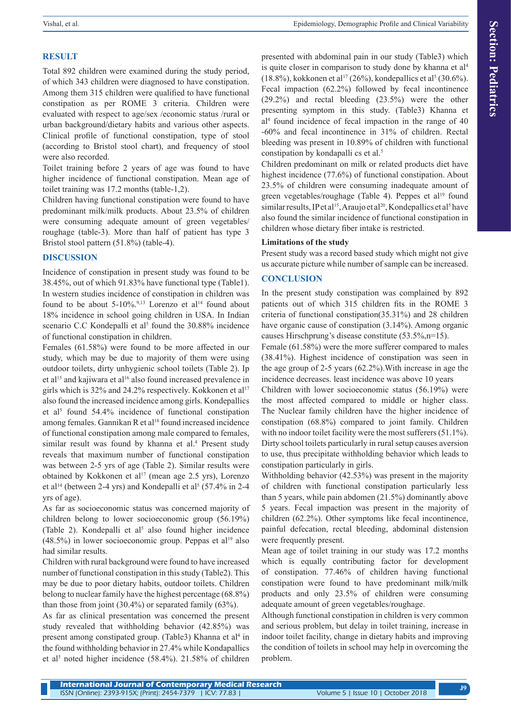# **RESULT**

Total 892 children were examined during the study period, of which 343 children were diagnosed to have constipation. Among them 315 children were qualified to have functional constipation as per ROME 3 criteria. Children were evaluated with respect to age/sex /economic status /rural or urban background/dietary habits and various other aspects. Clinical profile of functional constipation, type of stool (according to Bristol stool chart), and frequency of stool were also recorded.

Toilet training before 2 years of age was found to have higher incidence of functional constipation. Mean age of toilet training was 17.2 months (table-1,2).

Children having functional constipation were found to have predominant milk/milk products. About 23.5% of children were consuming adequate amount of green vegetables/ roughage (table-3). More than half of patient has type 3 Bristol stool pattern (51.8%) (table-4).

## **DISCUSSION**

Incidence of constipation in present study was found to be 38.45%, out of which 91.83% have functional type (Table1). In western studies incidence of constipation in children was found to be about  $5-10\%$ .<sup>9,13</sup> Lorenzo et al<sup>14</sup> found about 18% incidence in school going children in USA. In Indian scenario C.C Kondepalli et al<sup>5</sup> found the 30.88% incidence of functional constipation in children.

Females (61.58%) were found to be more affected in our study, which may be due to majority of them were using outdoor toilets, dirty unhygienic school toilets (Table 2). Ip et al<sup>15</sup> and kajiwara et al<sup>16</sup> also found increased prevalence in girls which is 32% and 24.2% respectively. Kokkonen et al<sup>17</sup> also found the increased incidence among girls. Kondepallics et al<sup>5</sup> found 54.4% incidence of functional constipation among females. Gannikan R et al<sup>18</sup> found increased incidence of functional constipation among male compared to females, similar result was found by khanna et al.<sup>4</sup> Present study reveals that maximum number of functional constipation was between 2-5 yrs of age (Table 2). Similar results were obtained by Kokkonen et al<sup>17</sup> (mean age  $2.5$  yrs), Lorenzo et al<sup>14</sup> (between 2-4 yrs) and Kondepalli et al<sup>5</sup> (57.4% in 2-4 yrs of age).

As far as socioeconomic status was concerned majority of children belong to lower socioeconomic group (56.19%) (Table 2). Kondepalli et al<sup>5</sup> also found higher incidence  $(48.5\%)$  in lower socioeconomic group. Peppas et al<sup>19</sup> also had similar results.

Children with rural background were found to have increased number of functional constipation in this study (Table2). This may be due to poor dietary habits, outdoor toilets. Children belong to nuclear family have the highest percentage (68.8%) than those from joint (30.4%) or separated family (63%).

As far as clinical presentation was concerned the present study revealed that withholding behavior (42.85%) was present among constipated group. (Table3) Khanna et al<sup>4</sup> in the found withholding behavior in 27.4% while Kondapallics et al<sup>5</sup> noted higher incidence (58.4%). 21.58% of children

presented with abdominal pain in our study (Table3) which is quite closer in comparison to study done by khanna et al<sup>4</sup>  $(18.8\%)$ , kokkonen et al<sup>17</sup> (26%), kondepallics et al<sup>5</sup> (30.6%). Fecal impaction (62.2%) followed by fecal incontinence (29.2%) and rectal bleeding (23.5%) were the other presenting symptom in this study. (Table3) Khanna et al4 found incidence of fecal impaction in the range of 40 -60% and fecal incontinence in 31% of children. Rectal bleeding was present in 10.89% of children with functional constipation by kondapalli cs et al.<sup>5</sup>

Children predominant on milk or related products diet have highest incidence (77.6%) of functional constipation. About 23.5% of children were consuming inadequate amount of green vegetables/roughage (Table 4). Peppes et al<sup>19</sup> found similar results, IP et al<sup>15</sup>, Araujo et al<sup>20</sup>, Kondepallics et al<sup>5</sup> have also found the similar incidence of functional constipation in children whose dietary fiber intake is restricted.

## **Limitations of the study**

Present study was a record based study which might not give us accurate picture while number of sample can be increased.

# **CONCLUSION**

In the present study constipation was complained by 892 patients out of which 315 children fits in the ROME 3 criteria of functional constipation(35.31%) and 28 children have organic cause of constipation (3.14%). Among organic causes Hirschprung's disease constitute (53.5%,n=15).

Female (61.58%) were the more sufferer compared to males (38.41%). Highest incidence of constipation was seen in the age group of 2-5 years (62.2%).With increase in age the incidence decreases. least incidence was above 10 years

Children with lower socioeconomic status (56.19%) were the most affected compared to middle or higher class. The Nuclear family children have the higher incidence of constipation (68.8%) compared to joint family. Children with no indoor toilet facility were the most sufferers (51.1%). Dirty school toilets particularly in rural setup causes aversion to use, thus precipitate withholding behavior which leads to constipation particularly in girls.

Withholding behavior (42.53%) was present in the majority of children with functional constipation particularly less than 5 years, while pain abdomen (21.5%) dominantly above 5 years. Fecal impaction was present in the majority of children (62.2%). Other symptoms like fecal incontinence, painful defecation, rectal bleeding, abdominal distension were frequently present.

Mean age of toilet training in our study was 17.2 months which is equally contributing factor for development of constipation. 77.46% of children having functional constipation were found to have predominant milk/milk products and only 23.5% of children were consuming adequate amount of green vegetables/roughage.

Although functional constipation in children is very common and serious problem, but delay in toilet training, increase in indoor toilet facility, change in dietary habits and improving the condition of toilets in school may help in overcoming the problem.